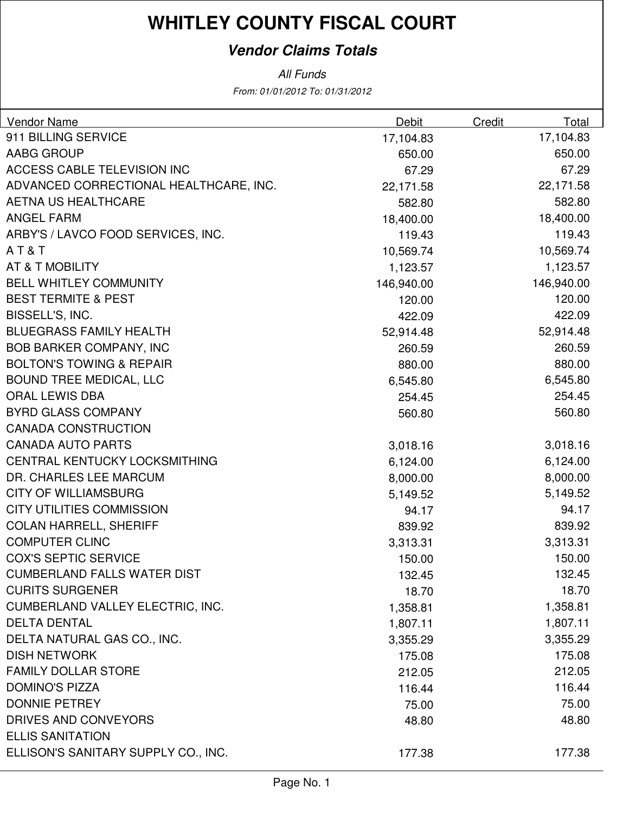### **Vendor Claims Totals**

| Vendor Name                            | Debit      | Credit | Total      |
|----------------------------------------|------------|--------|------------|
| 911 BILLING SERVICE                    | 17,104.83  |        | 17,104.83  |
| <b>AABG GROUP</b>                      | 650.00     |        | 650.00     |
| ACCESS CABLE TELEVISION INC            | 67.29      |        | 67.29      |
| ADVANCED CORRECTIONAL HEALTHCARE, INC. | 22,171.58  |        | 22,171.58  |
| <b>AETNA US HEALTHCARE</b>             | 582.80     |        | 582.80     |
| <b>ANGEL FARM</b>                      | 18,400.00  |        | 18,400.00  |
| ARBY'S / LAVCO FOOD SERVICES, INC.     | 119.43     |        | 119.43     |
| AT&T                                   | 10,569.74  |        | 10,569.74  |
| AT & T MOBILITY                        | 1,123.57   |        | 1,123.57   |
| <b>BELL WHITLEY COMMUNITY</b>          | 146,940.00 |        | 146,940.00 |
| <b>BEST TERMITE &amp; PEST</b>         | 120.00     |        | 120.00     |
| BISSELL'S, INC.                        | 422.09     |        | 422.09     |
| <b>BLUEGRASS FAMILY HEALTH</b>         | 52,914.48  |        | 52,914.48  |
| <b>BOB BARKER COMPANY, INC</b>         | 260.59     |        | 260.59     |
| <b>BOLTON'S TOWING &amp; REPAIR</b>    | 880.00     |        | 880.00     |
| <b>BOUND TREE MEDICAL, LLC</b>         | 6,545.80   |        | 6,545.80   |
| <b>ORAL LEWIS DBA</b>                  | 254.45     |        | 254.45     |
| <b>BYRD GLASS COMPANY</b>              | 560.80     |        | 560.80     |
| <b>CANADA CONSTRUCTION</b>             |            |        |            |
| <b>CANADA AUTO PARTS</b>               | 3,018.16   |        | 3,018.16   |
| CENTRAL KENTUCKY LOCKSMITHING          | 6,124.00   |        | 6,124.00   |
| DR. CHARLES LEE MARCUM                 | 8,000.00   |        | 8,000.00   |
| <b>CITY OF WILLIAMSBURG</b>            | 5,149.52   |        | 5,149.52   |
| <b>CITY UTILITIES COMMISSION</b>       | 94.17      |        | 94.17      |
| <b>COLAN HARRELL, SHERIFF</b>          | 839.92     |        | 839.92     |
| <b>COMPUTER CLINC</b>                  | 3,313.31   |        | 3,313.31   |
| <b>COX'S SEPTIC SERVICE</b>            | 150.00     |        | 150.00     |
| <b>CUMBERLAND FALLS WATER DIST</b>     | 132.45     |        | 132.45     |
| <b>CURITS SURGENER</b>                 | 18.70      |        | 18.70      |
| CUMBERLAND VALLEY ELECTRIC, INC.       | 1,358.81   |        | 1,358.81   |
| <b>DELTA DENTAL</b>                    | 1,807.11   |        | 1,807.11   |
| DELTA NATURAL GAS CO., INC.            | 3,355.29   |        | 3,355.29   |
| <b>DISH NETWORK</b>                    | 175.08     |        | 175.08     |
| <b>FAMILY DOLLAR STORE</b>             | 212.05     |        | 212.05     |
| <b>DOMINO'S PIZZA</b>                  | 116.44     |        | 116.44     |
| <b>DONNIE PETREY</b>                   | 75.00      |        | 75.00      |
| DRIVES AND CONVEYORS                   | 48.80      |        | 48.80      |
| <b>ELLIS SANITATION</b>                |            |        |            |
| ELLISON'S SANITARY SUPPLY CO., INC.    | 177.38     |        | 177.38     |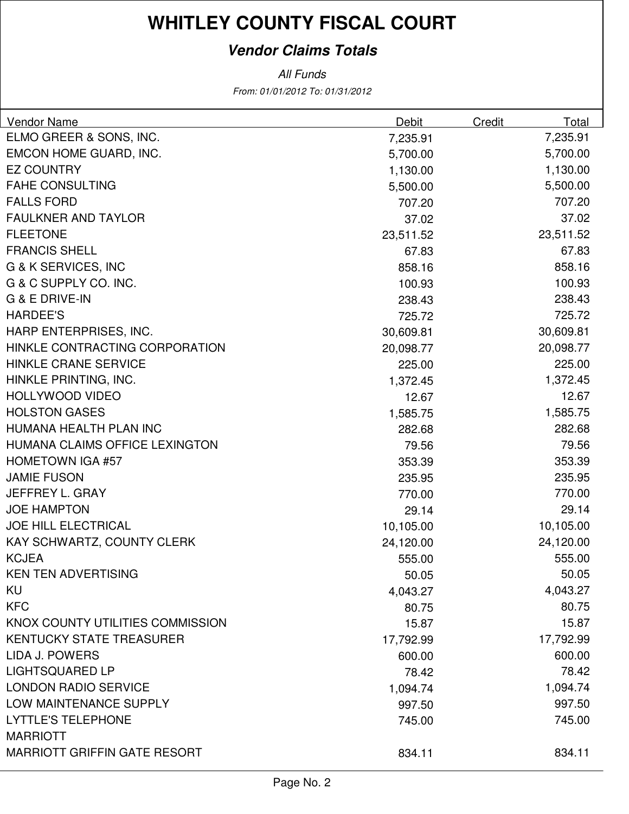### **Vendor Claims Totals**

| <b>Vendor Name</b>                  | Debit     | <b>Credit</b> | Total     |
|-------------------------------------|-----------|---------------|-----------|
| ELMO GREER & SONS, INC.             | 7,235.91  |               | 7,235.91  |
| EMCON HOME GUARD, INC.              | 5,700.00  |               | 5,700.00  |
| <b>EZ COUNTRY</b>                   | 1,130.00  |               | 1,130.00  |
| <b>FAHE CONSULTING</b>              | 5,500.00  |               | 5,500.00  |
| <b>FALLS FORD</b>                   | 707.20    |               | 707.20    |
| <b>FAULKNER AND TAYLOR</b>          | 37.02     |               | 37.02     |
| <b>FLEETONE</b>                     | 23,511.52 |               | 23,511.52 |
| <b>FRANCIS SHELL</b>                | 67.83     |               | 67.83     |
| G & K SERVICES, INC                 | 858.16    |               | 858.16    |
| G & C SUPPLY CO. INC.               | 100.93    |               | 100.93    |
| <b>G &amp; E DRIVE-IN</b>           | 238.43    |               | 238.43    |
| <b>HARDEE'S</b>                     | 725.72    |               | 725.72    |
| HARP ENTERPRISES, INC.              | 30,609.81 |               | 30,609.81 |
| HINKLE CONTRACTING CORPORATION      | 20,098.77 |               | 20,098.77 |
| <b>HINKLE CRANE SERVICE</b>         | 225.00    |               | 225.00    |
| HINKLE PRINTING, INC.               | 1,372.45  |               | 1,372.45  |
| HOLLYWOOD VIDEO                     | 12.67     |               | 12.67     |
| <b>HOLSTON GASES</b>                | 1,585.75  |               | 1,585.75  |
| HUMANA HEALTH PLAN INC              | 282.68    |               | 282.68    |
| HUMANA CLAIMS OFFICE LEXINGTON      | 79.56     |               | 79.56     |
| <b>HOMETOWN IGA #57</b>             | 353.39    |               | 353.39    |
| <b>JAMIE FUSON</b>                  | 235.95    |               | 235.95    |
| JEFFREY L. GRAY                     | 770.00    |               | 770.00    |
| <b>JOE HAMPTON</b>                  | 29.14     |               | 29.14     |
| <b>JOE HILL ELECTRICAL</b>          | 10,105.00 |               | 10,105.00 |
| KAY SCHWARTZ, COUNTY CLERK          | 24,120.00 |               | 24,120.00 |
| <b>KCJEA</b>                        | 555.00    |               | 555.00    |
| <b>KEN TEN ADVERTISING</b>          | 50.05     |               | 50.05     |
| KU                                  | 4,043.27  |               | 4,043.27  |
| <b>KFC</b>                          | 80.75     |               | 80.75     |
| KNOX COUNTY UTILITIES COMMISSION    | 15.87     |               | 15.87     |
| <b>KENTUCKY STATE TREASURER</b>     | 17,792.99 |               | 17,792.99 |
| LIDA J. POWERS                      | 600.00    |               | 600.00    |
| <b>LIGHTSQUARED LP</b>              | 78.42     |               | 78.42     |
| <b>LONDON RADIO SERVICE</b>         | 1,094.74  |               | 1,094.74  |
| LOW MAINTENANCE SUPPLY              | 997.50    |               | 997.50    |
| <b>LYTTLE'S TELEPHONE</b>           | 745.00    |               | 745.00    |
| <b>MARRIOTT</b>                     |           |               |           |
| <b>MARRIOTT GRIFFIN GATE RESORT</b> | 834.11    |               | 834.11    |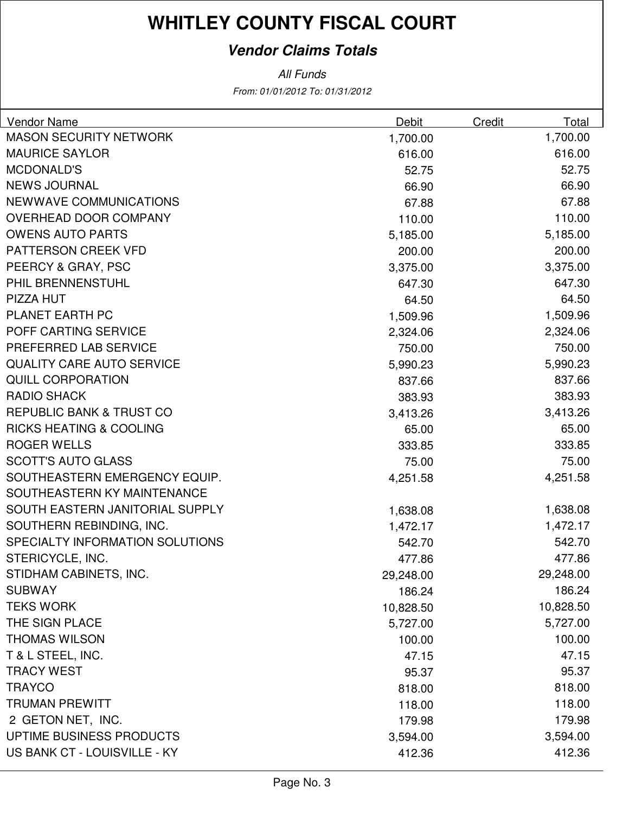### **Vendor Claims Totals**

| Vendor Name                         | Debit     | Credit | Total     |
|-------------------------------------|-----------|--------|-----------|
| <b>MASON SECURITY NETWORK</b>       | 1,700.00  |        | 1,700.00  |
| <b>MAURICE SAYLOR</b>               | 616.00    |        | 616.00    |
| <b>MCDONALD'S</b>                   | 52.75     |        | 52.75     |
| <b>NEWS JOURNAL</b>                 | 66.90     |        | 66.90     |
| <b>NEWWAVE COMMUNICATIONS</b>       | 67.88     |        | 67.88     |
| OVERHEAD DOOR COMPANY               | 110.00    |        | 110.00    |
| <b>OWENS AUTO PARTS</b>             | 5,185.00  |        | 5,185.00  |
| PATTERSON CREEK VFD                 | 200.00    |        | 200.00    |
| PEERCY & GRAY, PSC                  | 3,375.00  |        | 3,375.00  |
| PHIL BRENNENSTUHL                   | 647.30    |        | 647.30    |
| PIZZA HUT                           | 64.50     |        | 64.50     |
| PLANET EARTH PC                     | 1,509.96  |        | 1,509.96  |
| POFF CARTING SERVICE                | 2,324.06  |        | 2,324.06  |
| PREFERRED LAB SERVICE               | 750.00    |        | 750.00    |
| <b>QUALITY CARE AUTO SERVICE</b>    | 5,990.23  |        | 5,990.23  |
| <b>QUILL CORPORATION</b>            | 837.66    |        | 837.66    |
| <b>RADIO SHACK</b>                  | 383.93    |        | 383.93    |
| <b>REPUBLIC BANK &amp; TRUST CO</b> | 3,413.26  |        | 3,413.26  |
| <b>RICKS HEATING &amp; COOLING</b>  | 65.00     |        | 65.00     |
| <b>ROGER WELLS</b>                  | 333.85    |        | 333.85    |
| <b>SCOTT'S AUTO GLASS</b>           | 75.00     |        | 75.00     |
| SOUTHEASTERN EMERGENCY EQUIP.       | 4,251.58  |        | 4,251.58  |
| SOUTHEASTERN KY MAINTENANCE         |           |        |           |
| SOUTH EASTERN JANITORIAL SUPPLY     | 1,638.08  |        | 1,638.08  |
| SOUTHERN REBINDING, INC.            | 1,472.17  |        | 1,472.17  |
| SPECIALTY INFORMATION SOLUTIONS     | 542.70    |        | 542.70    |
| STERICYCLE, INC.                    | 477.86    |        | 477.86    |
| STIDHAM CABINETS, INC.              | 29,248.00 |        | 29,248.00 |
| <b>SUBWAY</b>                       | 186.24    |        | 186.24    |
| <b>TEKS WORK</b>                    | 10,828.50 |        | 10,828.50 |
| THE SIGN PLACE                      | 5,727.00  |        | 5,727.00  |
| <b>THOMAS WILSON</b>                | 100.00    |        | 100.00    |
| T & L STEEL, INC.                   | 47.15     |        | 47.15     |
| <b>TRACY WEST</b>                   | 95.37     |        | 95.37     |
| <b>TRAYCO</b>                       | 818.00    |        | 818.00    |
| <b>TRUMAN PREWITT</b>               | 118.00    |        | 118.00    |
| 2 GETON NET, INC.                   | 179.98    |        | 179.98    |
| UPTIME BUSINESS PRODUCTS            | 3,594.00  |        | 3,594.00  |
| US BANK CT - LOUISVILLE - KY        | 412.36    |        | 412.36    |